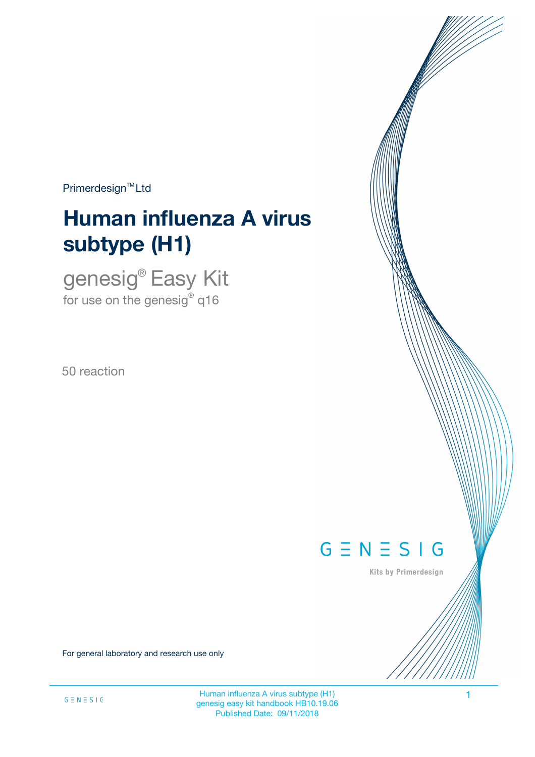$Primerdesign<sup>™</sup>Ltd$ 

# **Human influenza A virus subtype (H1)**

genesig® Easy Kit for use on the genesig $^\circ$  q16

50 reaction



Kits by Primerdesign

For general laboratory and research use only

Human influenza A virus subtype (H1) 1 genesig easy kit handbook HB10.19.06 Published Date: 09/11/2018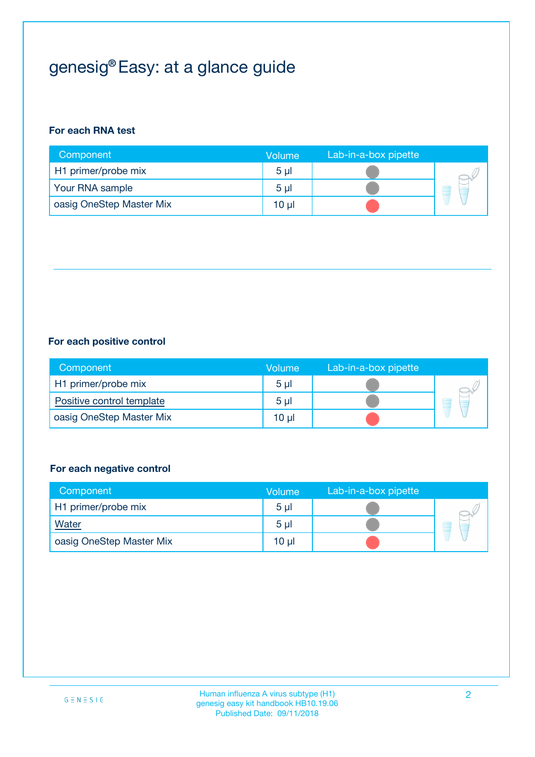## genesig® Easy: at a glance guide

#### **For each RNA test**

| Component                | <b>Volume</b>  | Lab-in-a-box pipette |  |
|--------------------------|----------------|----------------------|--|
| H1 primer/probe mix      | 5 <sub>µ</sub> |                      |  |
| Your RNA sample          | 5 <sub>µ</sub> |                      |  |
| oasig OneStep Master Mix | 10 µl          |                      |  |

#### **For each positive control**

| Component                 | Volume         | Lab-in-a-box pipette |  |
|---------------------------|----------------|----------------------|--|
| H1 primer/probe mix       | 5 <sub>µ</sub> |                      |  |
| Positive control template | 5 <sub>µ</sub> |                      |  |
| oasig OneStep Master Mix  | 10 µl          |                      |  |

#### **For each negative control**

| Component                | Volume         | Lab-in-a-box pipette |   |
|--------------------------|----------------|----------------------|---|
| H1 primer/probe mix      | 5 <sub>µ</sub> |                      |   |
| <b>Water</b>             | 5 <sub>µ</sub> |                      | - |
| oasig OneStep Master Mix | 10 µl          |                      |   |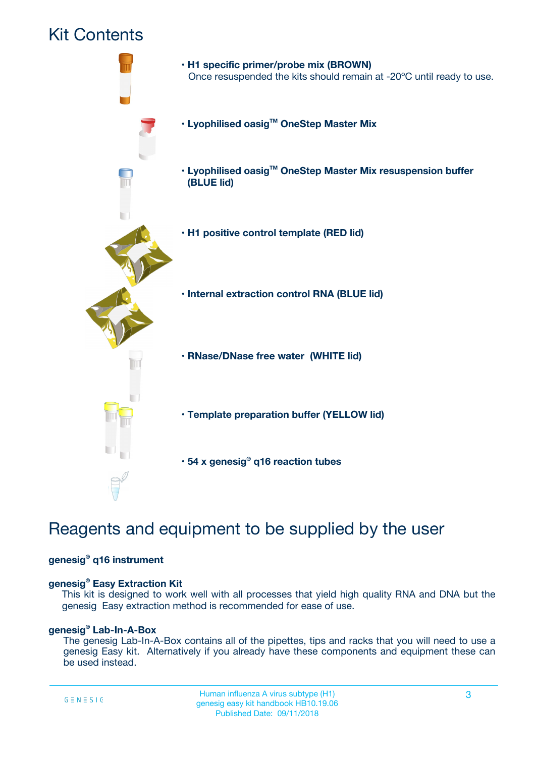### Kit Contents



## Reagents and equipment to be supplied by the user

#### **genesig® q16 instrument**

#### **genesig® Easy Extraction Kit**

This kit is designed to work well with all processes that yield high quality RNA and DNA but the genesig Easy extraction method is recommended for ease of use.

#### **genesig® Lab-In-A-Box**

The genesig Lab-In-A-Box contains all of the pipettes, tips and racks that you will need to use a genesig Easy kit. Alternatively if you already have these components and equipment these can be used instead.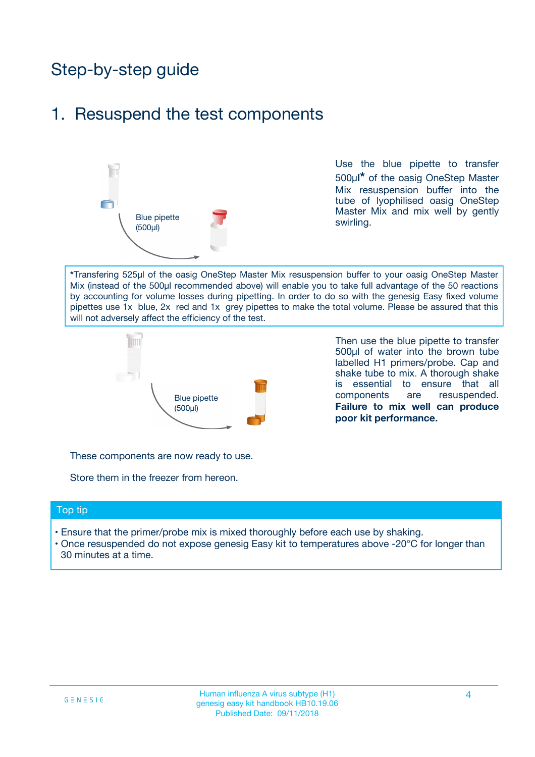## Step-by-step guide

### 1. Resuspend the test components



Use the blue pipette to transfer 500µ**l\*** of the oasig OneStep Master Mix resuspension buffer into the tube of lyophilised oasig OneStep Master Mix and mix well by gently swirling.

**\***Transfering 525µl of the oasig OneStep Master Mix resuspension buffer to your oasig OneStep Master Mix (instead of the 500µl recommended above) will enable you to take full advantage of the 50 reactions by accounting for volume losses during pipetting. In order to do so with the genesig Easy fixed volume pipettes use 1x blue, 2x red and 1x grey pipettes to make the total volume. Please be assured that this will not adversely affect the efficiency of the test.



Then use the blue pipette to transfer 500µl of water into the brown tube labelled H1 primers/probe. Cap and shake tube to mix. A thorough shake is essential to ensure that all components are resuspended. **Failure to mix well can produce poor kit performance.**

These components are now ready to use.

Store them in the freezer from hereon.

#### Top tip

- Ensure that the primer/probe mix is mixed thoroughly before each use by shaking.
- Once resuspended do not expose genesig Easy kit to temperatures above -20°C for longer than 30 minutes at a time.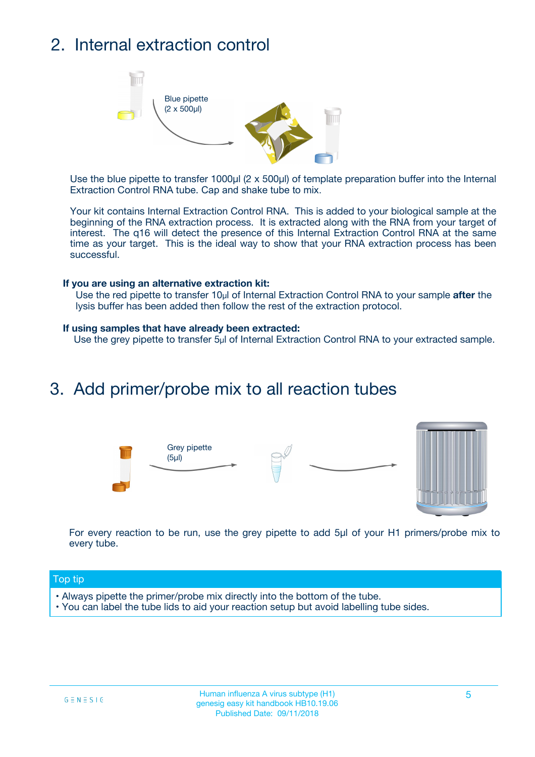## 2. Internal extraction control



Use the blue pipette to transfer 1000µl (2 x 500µl) of template preparation buffer into the Internal Extraction Control RNA tube. Cap and shake tube to mix.

Your kit contains Internal Extraction Control RNA. This is added to your biological sample at the beginning of the RNA extraction process. It is extracted along with the RNA from your target of interest. The q16 will detect the presence of this Internal Extraction Control RNA at the same time as your target. This is the ideal way to show that your RNA extraction process has been successful.

#### **If you are using an alternative extraction kit:**

Use the red pipette to transfer 10µl of Internal Extraction Control RNA to your sample **after** the lysis buffer has been added then follow the rest of the extraction protocol.

#### **If using samples that have already been extracted:**

Use the grey pipette to transfer 5µl of Internal Extraction Control RNA to your extracted sample.

### 3. Add primer/probe mix to all reaction tubes





For every reaction to be run, use the grey pipette to add 5µl of your H1 primers/probe mix to every tube.

#### Top tip

- Always pipette the primer/probe mix directly into the bottom of the tube.
- You can label the tube lids to aid your reaction setup but avoid labelling tube sides.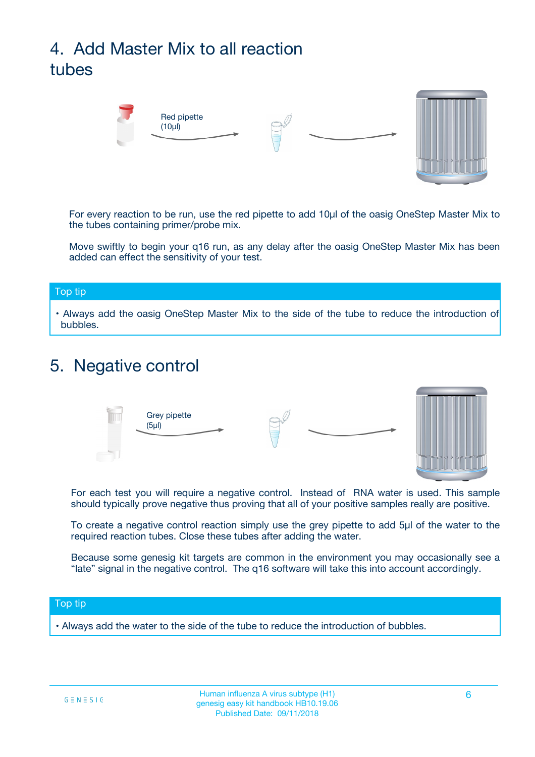## 4. Add Master Mix to all reaction tubes



For every reaction to be run, use the red pipette to add 10µl of the oasig OneStep Master Mix to the tubes containing primer/probe mix.

Move swiftly to begin your q16 run, as any delay after the oasig OneStep Master Mix has been added can effect the sensitivity of your test.

#### Top tip

**•** Always add the oasig OneStep Master Mix to the side of the tube to reduce the introduction of bubbles.

### 5. Negative control



For each test you will require a negative control. Instead of RNA water is used. This sample should typically prove negative thus proving that all of your positive samples really are positive.

To create a negative control reaction simply use the grey pipette to add 5µl of the water to the required reaction tubes. Close these tubes after adding the water.

Because some genesig kit targets are common in the environment you may occasionally see a "late" signal in the negative control. The q16 software will take this into account accordingly.

#### Top tip

**•** Always add the water to the side of the tube to reduce the introduction of bubbles.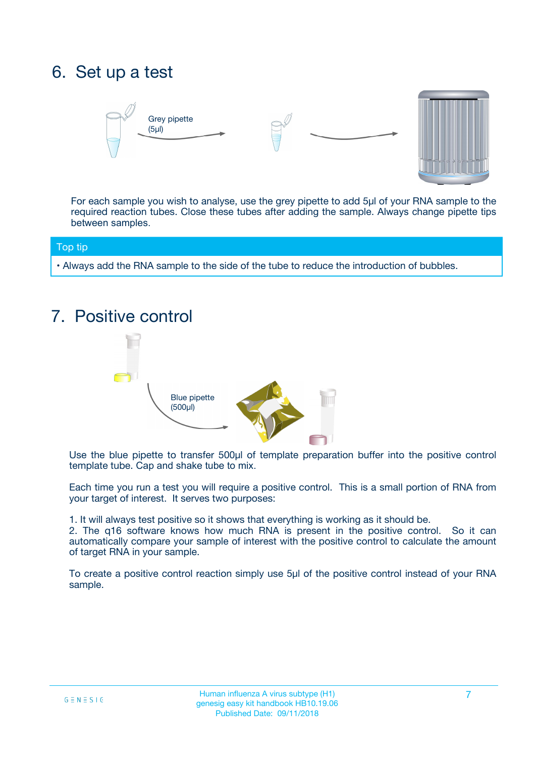## 6. Set up a test





For each sample you wish to analyse, use the grey pipette to add 5µl of your RNA sample to the required reaction tubes. Close these tubes after adding the sample. Always change pipette tips between samples.

#### Top tip

**•** Always add the RNA sample to the side of the tube to reduce the introduction of bubbles.

## 7. Positive control



Use the blue pipette to transfer 500µl of template preparation buffer into the positive control template tube. Cap and shake tube to mix.

Each time you run a test you will require a positive control. This is a small portion of RNA from your target of interest. It serves two purposes:

1. It will always test positive so it shows that everything is working as it should be.

2. The q16 software knows how much RNA is present in the positive control. So it can automatically compare your sample of interest with the positive control to calculate the amount of target RNA in your sample.

To create a positive control reaction simply use 5µl of the positive control instead of your RNA sample.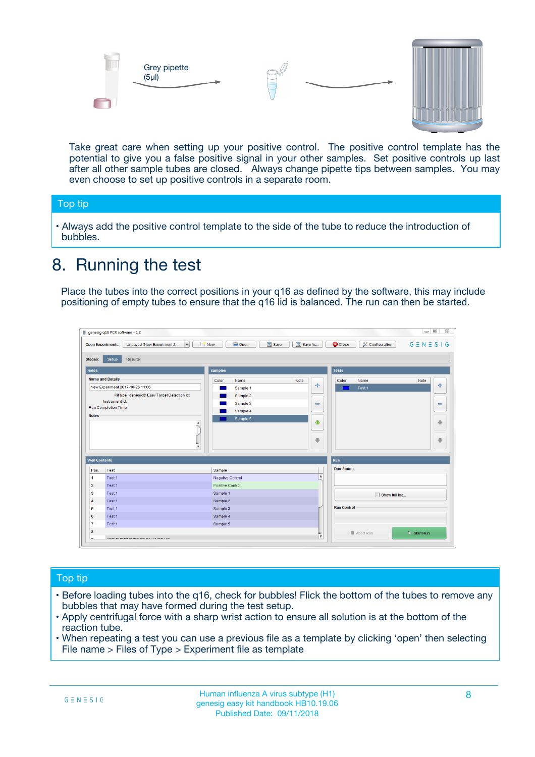



Take great care when setting up your positive control. The positive control template has the potential to give you a false positive signal in your other samples. Set positive controls up last after all other sample tubes are closed. Always change pipette tips between samples. You may even choose to set up positive controls in a separate room.

#### Top tip

**•** Always add the positive control template to the side of the tube to reduce the introduction of bubbles.

## 8. Running the test

Place the tubes into the correct positions in your q16 as defined by the software, this may include positioning of empty tubes to ensure that the q16 lid is balanced. The run can then be started.

|                      | genesig q16 PCR software - 1.2                                               |                                                | $= 0$<br>$\Sigma\!3$                                            |
|----------------------|------------------------------------------------------------------------------|------------------------------------------------|-----------------------------------------------------------------|
|                      | $\vert \cdot \vert$<br>Unsaved (New Experiment 2<br><b>Open Experiments:</b> | <b>E</b> Open<br>Save<br>Save As<br>$\Box$ New | <b>C</b> Close<br>$G \equiv N \equiv S \mid G$<br>Configuration |
| <b>Stages:</b>       | Setup<br><b>Results</b>                                                      |                                                |                                                                 |
| <b>Notes</b>         |                                                                              | <b>Samples</b>                                 | <b>Tests</b>                                                    |
|                      | <b>Name and Details</b>                                                      | Color<br>Note<br>Name                          | Name<br>Note<br>Color                                           |
|                      | New Experiment 2017-10-26 11:06                                              | على<br>Sample 1                                | $\ddot{\Phi}$<br>Test 1                                         |
|                      | Kit type: genesig® Easy Target Detection kit                                 | Sample 2                                       |                                                                 |
| Instrument Id.:      |                                                                              | Sample 3<br>$\equiv$                           | $\equiv$                                                        |
|                      | Run Completion Time:                                                         | Sample 4                                       |                                                                 |
| <b>Notes</b>         | $\blacktriangle$                                                             | Sample 5<br>♦                                  | 4                                                               |
|                      | $\overline{\mathbf{v}}$                                                      | ÷                                              | ⊕                                                               |
| <b>Well Contents</b> |                                                                              |                                                | Run                                                             |
| Pos.                 | Test                                                                         | Sample                                         | <b>Run Status</b>                                               |
| $\blacktriangleleft$ | Test 1                                                                       | $\blacktriangle$<br>Negative Control           |                                                                 |
| $\overline{2}$       | Test 1                                                                       | <b>Positive Control</b>                        |                                                                 |
| 3                    | Test 1                                                                       | Sample 1                                       | Show full log                                                   |
| $\overline{4}$       | Test 1                                                                       | Sample 2                                       |                                                                 |
| 5                    | Test 1                                                                       | Sample 3                                       | <b>Run Control</b>                                              |
| 6                    | Test 1                                                                       | Sample 4                                       |                                                                 |
| $\overline{7}$       | Test 1                                                                       | Sample 5                                       |                                                                 |
| 8                    |                                                                              |                                                | $\triangleright$ Start Run<br>Abort Run                         |
|                      | <b>INN FURTY TURE TO BUILDING UP.</b>                                        | $\pmb{\triangledown}$                          |                                                                 |

#### Top tip

- Before loading tubes into the q16, check for bubbles! Flick the bottom of the tubes to remove any bubbles that may have formed during the test setup.
- Apply centrifugal force with a sharp wrist action to ensure all solution is at the bottom of the reaction tube.
- When repeating a test you can use a previous file as a template by clicking 'open' then selecting File name > Files of Type > Experiment file as template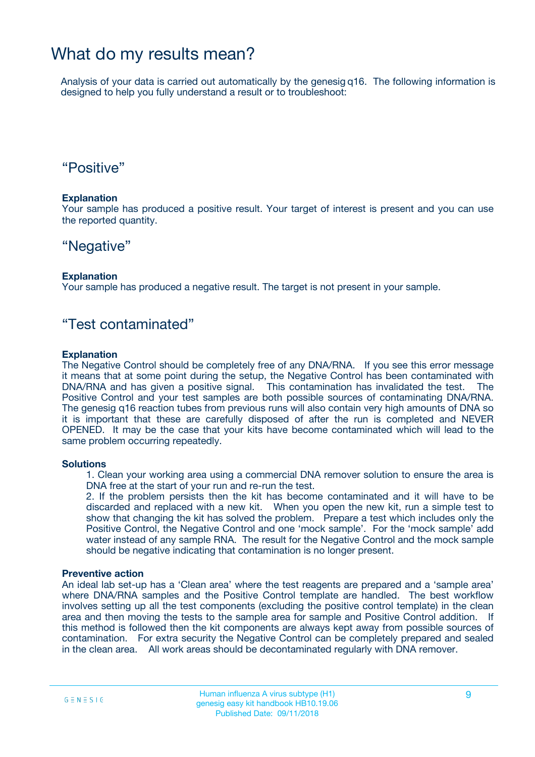### What do my results mean?

Analysis of your data is carried out automatically by the genesig q16. The following information is designed to help you fully understand a result or to troubleshoot:

### "Positive"

#### **Explanation**

Your sample has produced a positive result. Your target of interest is present and you can use the reported quantity.

### "Negative"

#### **Explanation**

Your sample has produced a negative result. The target is not present in your sample.

### "Test contaminated"

#### **Explanation**

The Negative Control should be completely free of any DNA/RNA. If you see this error message it means that at some point during the setup, the Negative Control has been contaminated with DNA/RNA and has given a positive signal. This contamination has invalidated the test. The Positive Control and your test samples are both possible sources of contaminating DNA/RNA. The genesig q16 reaction tubes from previous runs will also contain very high amounts of DNA so it is important that these are carefully disposed of after the run is completed and NEVER OPENED. It may be the case that your kits have become contaminated which will lead to the same problem occurring repeatedly.

#### **Solutions**

1. Clean your working area using a commercial DNA remover solution to ensure the area is DNA free at the start of your run and re-run the test.

2. If the problem persists then the kit has become contaminated and it will have to be discarded and replaced with a new kit. When you open the new kit, run a simple test to show that changing the kit has solved the problem. Prepare a test which includes only the Positive Control, the Negative Control and one 'mock sample'. For the 'mock sample' add water instead of any sample RNA. The result for the Negative Control and the mock sample should be negative indicating that contamination is no longer present.

#### **Preventive action**

An ideal lab set-up has a 'Clean area' where the test reagents are prepared and a 'sample area' where DNA/RNA samples and the Positive Control template are handled. The best workflow involves setting up all the test components (excluding the positive control template) in the clean area and then moving the tests to the sample area for sample and Positive Control addition. If this method is followed then the kit components are always kept away from possible sources of contamination. For extra security the Negative Control can be completely prepared and sealed in the clean area. All work areas should be decontaminated regularly with DNA remover.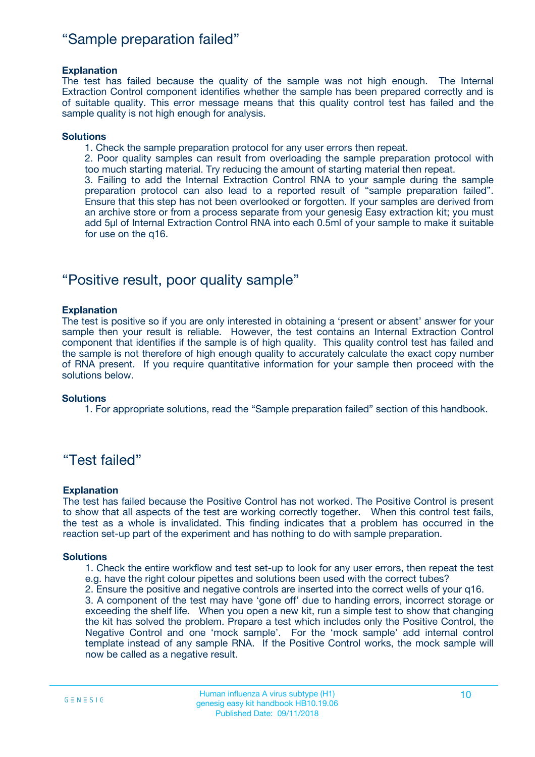### "Sample preparation failed"

#### **Explanation**

The test has failed because the quality of the sample was not high enough. The Internal Extraction Control component identifies whether the sample has been prepared correctly and is of suitable quality. This error message means that this quality control test has failed and the sample quality is not high enough for analysis.

#### **Solutions**

1. Check the sample preparation protocol for any user errors then repeat.

2. Poor quality samples can result from overloading the sample preparation protocol with too much starting material. Try reducing the amount of starting material then repeat.

3. Failing to add the Internal Extraction Control RNA to your sample during the sample preparation protocol can also lead to a reported result of "sample preparation failed". Ensure that this step has not been overlooked or forgotten. If your samples are derived from an archive store or from a process separate from your genesig Easy extraction kit; you must add 5µl of Internal Extraction Control RNA into each 0.5ml of your sample to make it suitable for use on the q16.

### "Positive result, poor quality sample"

#### **Explanation**

The test is positive so if you are only interested in obtaining a 'present or absent' answer for your sample then your result is reliable. However, the test contains an Internal Extraction Control component that identifies if the sample is of high quality. This quality control test has failed and the sample is not therefore of high enough quality to accurately calculate the exact copy number of RNA present. If you require quantitative information for your sample then proceed with the solutions below.

#### **Solutions**

1. For appropriate solutions, read the "Sample preparation failed" section of this handbook.

### "Test failed"

#### **Explanation**

The test has failed because the Positive Control has not worked. The Positive Control is present to show that all aspects of the test are working correctly together. When this control test fails, the test as a whole is invalidated. This finding indicates that a problem has occurred in the reaction set-up part of the experiment and has nothing to do with sample preparation.

#### **Solutions**

- 1. Check the entire workflow and test set-up to look for any user errors, then repeat the test e.g. have the right colour pipettes and solutions been used with the correct tubes?
- 2. Ensure the positive and negative controls are inserted into the correct wells of your q16.

3. A component of the test may have 'gone off' due to handing errors, incorrect storage or exceeding the shelf life. When you open a new kit, run a simple test to show that changing the kit has solved the problem. Prepare a test which includes only the Positive Control, the Negative Control and one 'mock sample'. For the 'mock sample' add internal control template instead of any sample RNA. If the Positive Control works, the mock sample will now be called as a negative result.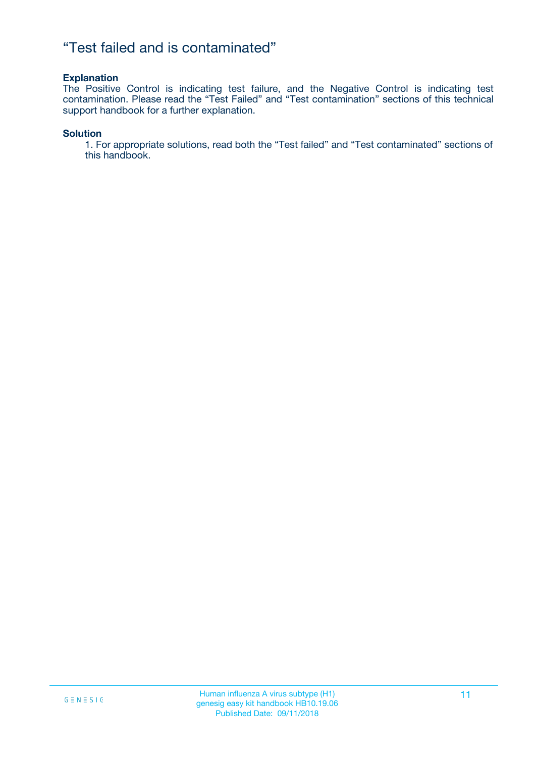### "Test failed and is contaminated"

#### **Explanation**

The Positive Control is indicating test failure, and the Negative Control is indicating test contamination. Please read the "Test Failed" and "Test contamination" sections of this technical support handbook for a further explanation.

#### **Solution**

1. For appropriate solutions, read both the "Test failed" and "Test contaminated" sections of this handbook.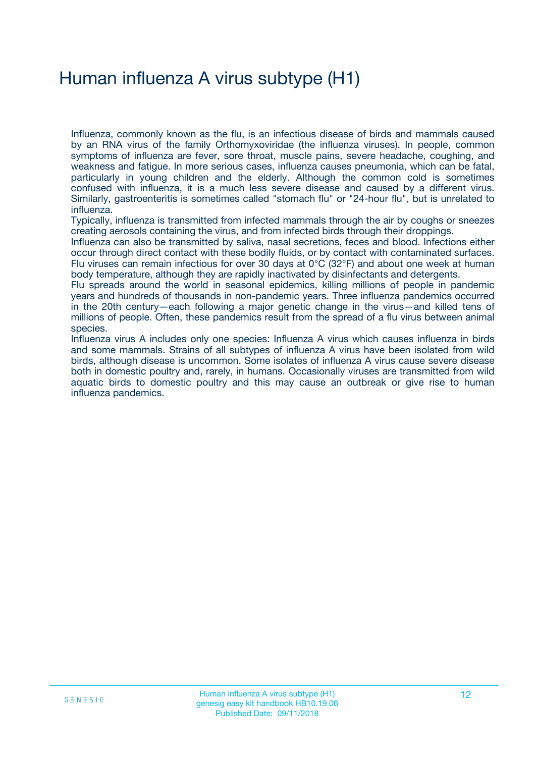## Human influenza A virus subtype (H1)

Influenza, commonly known as the flu, is an infectious disease of birds and mammals caused by an RNA virus of the family Orthomyxoviridae (the influenza viruses). In people, common symptoms of influenza are fever, sore throat, muscle pains, severe headache, coughing, and weakness and fatigue. In more serious cases, influenza causes pneumonia, which can be fatal, particularly in young children and the elderly. Although the common cold is sometimes confused with influenza, it is a much less severe disease and caused by a different virus. Similarly, gastroenteritis is sometimes called "stomach flu" or "24-hour flu", but is unrelated to influenza.

Typically, influenza is transmitted from infected mammals through the air by coughs or sneezes creating aerosols containing the virus, and from infected birds through their droppings.

Influenza can also be transmitted by saliva, nasal secretions, feces and blood. Infections either occur through direct contact with these bodily fluids, or by contact with contaminated surfaces. Flu viruses can remain infectious for over 30 days at 0°C (32°F) and about one week at human body temperature, although they are rapidly inactivated by disinfectants and detergents.

Flu spreads around the world in seasonal epidemics, killing millions of people in pandemic years and hundreds of thousands in non-pandemic years. Three influenza pandemics occurred in the 20th century—each following a major genetic change in the virus—and killed tens of millions of people. Often, these pandemics result from the spread of a flu virus between animal species.

Influenza virus A includes only one species: Influenza A virus which causes influenza in birds and some mammals. Strains of all subtypes of influenza A virus have been isolated from wild birds, although disease is uncommon. Some isolates of influenza A virus cause severe disease both in domestic poultry and, rarely, in humans. Occasionally viruses are transmitted from wild aquatic birds to domestic poultry and this may cause an outbreak or give rise to human influenza pandemics.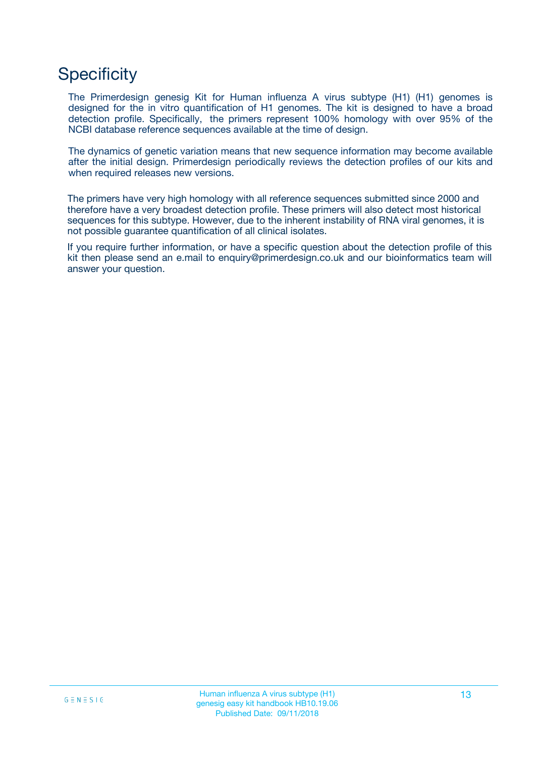## **Specificity**

The Primerdesign genesig Kit for Human influenza A virus subtype (H1) (H1) genomes is designed for the in vitro quantification of H1 genomes. The kit is designed to have a broad detection profile. Specifically, the primers represent 100% homology with over 95% of the NCBI database reference sequences available at the time of design.

The dynamics of genetic variation means that new sequence information may become available after the initial design. Primerdesign periodically reviews the detection profiles of our kits and when required releases new versions.

The primers have very high homology with all reference sequences submitted since 2000 and therefore have a very broadest detection profile. These primers will also detect most historical sequences for this subtype. However, due to the inherent instability of RNA viral genomes, it is not possible guarantee quantification of all clinical isolates.

If you require further information, or have a specific question about the detection profile of this kit then please send an e.mail to enquiry@primerdesign.co.uk and our bioinformatics team will answer your question.